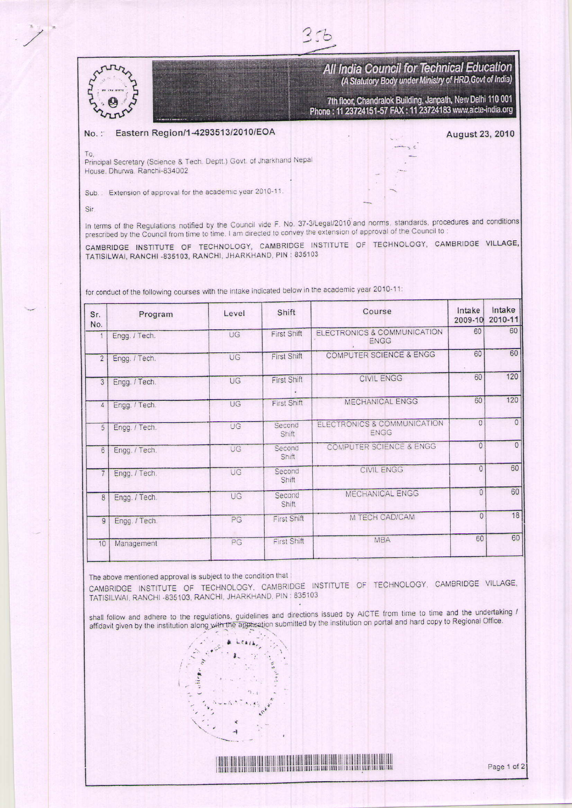

All India Council for Technical Education (A Statutory Body under Ministry of HRD, Govt of India)

7th floor, Chandralok Building, Janpath, New Delhi 110 001 Phone: 11 23724151-57 FAX: 11 23724183 www.aicte-india.org

## Eastern Region/1-4293513/2010/EOA  $No.$

August 23, 2010

To Principal Secretary (Science & Tech. Deptt.) Govt. of Jharkhand Nepal House, Dhurwa, Ranchi-834002

Sub.: Extension of approval for the academic year 2010-11.

Sir

In terms of the Regulations notified by the Council vide F. No. 37-3/Legal/2010 and norms, standards, procedures and conditions prescribed by the Council from time to time. I am directed to convey the extension of approval of the Council to:

 $3.76$ 

CAMBRIDGE INSTITUTE OF TECHNOLOGY, CAMBRIDGE INSTITUTE OF TECHNOLOGY, CAMBRIDGE VILLAGE, TATISILWAI, RANCHI -835103, RANCHI, JHARKHAND, PIN : 835103

| conduct of the following courses with the intake indicated below in the academic year 2010-11. |  |  |  |
|------------------------------------------------------------------------------------------------|--|--|--|
|------------------------------------------------------------------------------------------------|--|--|--|

| Intake<br>2009-10 | Intake<br>2010-11 |
|-------------------|-------------------|
| 60                | 60                |
| 60                | 60                |
| 60                | 120               |
| 60                | 120               |
| $\Omega$          | $\Omega$          |
| $\Omega$          | $\mathbf{0}$      |
| $\Omega$          | 60                |
| $\overline{0}$    | 60                |
| $\overline{0}$    | 18                |
| 60                | 60                |
|                   |                   |

The above mentioned approval is subject to the condition that

CAMBRIDGE INSTITUTE OF TECHNOLOGY, CAMBRIDGE INSTITUTE OF TECHNOLOGY, CAMBRIDGE VILLAGE, TATISILWAI, RANCHI -835103, RANCHI, JHARKHAND, PIN : 835103

shall follow and adhere to the regulations, guidelines and directions issued by AICTE from time to time and the undertaking / affidavit given by the institution along with the application submitted by the institution on portal and hard copy to Regional Office.



<u> Timbul Manazarta Manazarta III da Manazarta III da Manazarta II da Manazarta II da Manazarta II da Manazarta </u>